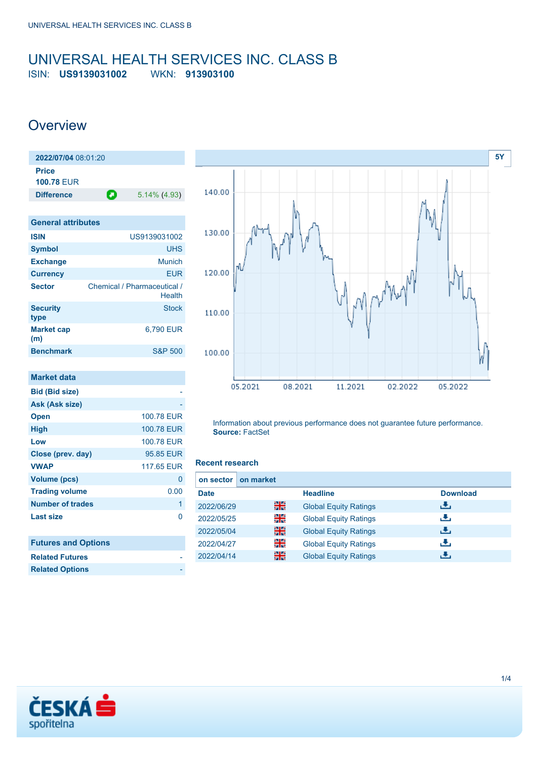### <span id="page-0-0"></span>UNIVERSAL HEALTH SERVICES INC. CLASS B ISIN: **US9139031002** WKN: **913903100**

## **Overview**

| 2022/07/04 08:01:20 |   |                 |
|---------------------|---|-----------------|
| Price               |   |                 |
| <b>100.78 FUR</b>   |   |                 |
| <b>Difference</b>   | О | $5.14\%$ (4.93) |
|                     |   |                 |

| <b>General attributes</b> |                                       |
|---------------------------|---------------------------------------|
| <b>ISIN</b>               | US9139031002                          |
| <b>Symbol</b>             | <b>UHS</b>                            |
| <b>Exchange</b>           | Munich                                |
| <b>Currency</b>           | <b>EUR</b>                            |
| <b>Sector</b>             | Chemical / Pharmaceutical /<br>Health |
| <b>Security</b><br>type   | <b>Stock</b>                          |
| <b>Market cap</b><br>(m)  | 6,790 EUR                             |
| <b>Benchmark</b>          | <b>S&amp;P 500</b>                    |

| <b>Market data</b>         |            |
|----------------------------|------------|
| <b>Bid (Bid size)</b>      |            |
| Ask (Ask size)             |            |
| <b>Open</b>                | 100.78 EUR |
| <b>High</b>                | 100.78 EUR |
| Low                        | 100.78 EUR |
| Close (prev. day)          | 95.85 EUR  |
| <b>VWAP</b>                | 117.65 EUR |
| Volume (pcs)               | 0          |
| <b>Trading volume</b>      | 0.00       |
| <b>Number of trades</b>    | 1          |
| <b>Last size</b>           | ი          |
|                            |            |
| <b>Futures and Options</b> |            |



Information about previous performance does not guarantee future performance. **Source:** FactSet

#### **Recent research**

| on market<br>on sector |    |                              |                 |
|------------------------|----|------------------------------|-----------------|
| <b>Date</b>            |    | <b>Headline</b>              | <b>Download</b> |
| 2022/06/29             | 을중 | <b>Global Equity Ratings</b> | رنان            |
| 2022/05/25             | 읡  | <b>Global Equity Ratings</b> | æ,              |
| 2022/05/04             | 읡  | <b>Global Equity Ratings</b> | æ,              |
| 2022/04/27             | 읡  | <b>Global Equity Ratings</b> | æ,              |
| 2022/04/14             | 噐  | <b>Global Equity Ratings</b> | æ.              |



**Related Futures Related Options**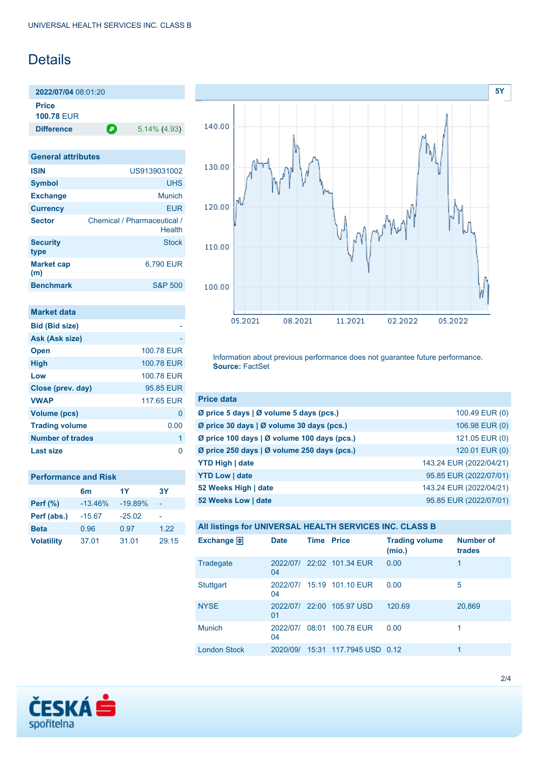## Details

**2022/07/04** 08:01:20 **Price**

**100.78** EUR

**Difference 1** 5.14% (4.93)

| <b>General attributes</b> |                                       |  |  |  |
|---------------------------|---------------------------------------|--|--|--|
| <b>ISIN</b>               | US9139031002                          |  |  |  |
| <b>Symbol</b>             | <b>UHS</b>                            |  |  |  |
| <b>Exchange</b>           | Munich                                |  |  |  |
| <b>Currency</b>           | FUR                                   |  |  |  |
| <b>Sector</b>             | Chemical / Pharmaceutical /<br>Health |  |  |  |
| <b>Security</b><br>type   | <b>Stock</b>                          |  |  |  |
| <b>Market cap</b><br>(m)  | 6.790 EUR                             |  |  |  |
| <b>Benchmark</b>          | <b>S&amp;P 500</b>                    |  |  |  |
|                           |                                       |  |  |  |

| <b>Market data</b>    |            |
|-----------------------|------------|
| <b>Bid (Bid size)</b> |            |
| Ask (Ask size)        |            |
| <b>Open</b>           | 100.78 FUR |
| <b>High</b>           | 100.78 EUR |
| Low                   | 100.78 FUR |
| Close (prev. day)     | 95.85 EUR  |
| <b>VWAP</b>           | 117.65 EUR |
| <b>Volume (pcs)</b>   | 0          |
| <b>Trading volume</b> | 0.00       |
| Number of trades      | 1          |
| <b>Last size</b>      |            |

| <b>Performance and Risk</b> |                |           |       |  |  |
|-----------------------------|----------------|-----------|-------|--|--|
|                             | 1Y<br>3Y<br>6m |           |       |  |  |
| <b>Perf</b> (%)             | $-13.46%$      | $-19.89%$ |       |  |  |
| Perf (abs.)                 | $-15.67$       | $-25.02$  |       |  |  |
| <b>Beta</b>                 | 0.96           | 0.97      | 1.22  |  |  |
| <b>Volatility</b>           | 37.01          | 31.01     | 29.15 |  |  |



Information about previous performance does not guarantee future performance. **Source:** FactSet

| <b>Price data</b>                           |                         |
|---------------------------------------------|-------------------------|
| Ø price 5 days   Ø volume 5 days (pcs.)     | 100.49 EUR (0)          |
| Ø price 30 days   Ø volume 30 days (pcs.)   | 106.98 EUR (0)          |
| Ø price 100 days   Ø volume 100 days (pcs.) | 121.05 EUR (0)          |
| Ø price 250 days   Ø volume 250 days (pcs.) | 120.01 EUR (0)          |
| <b>YTD High   date</b>                      | 143.24 EUR (2022/04/21) |
| <b>YTD Low   date</b>                       | 95.85 EUR (2022/07/01)  |
| 52 Weeks High   date                        | 143.24 EUR (2022/04/21) |
| 52 Weeks Low   date                         | 95.85 EUR (2022/07/01)  |

| All listings for UNIVERSAL HEALTH SERVICES INC. CLASS B |             |                   |                           |                                 |                            |
|---------------------------------------------------------|-------------|-------------------|---------------------------|---------------------------------|----------------------------|
| <b>Exchange</b>                                         | <b>Date</b> | <b>Time Price</b> |                           | <b>Trading volume</b><br>(mio.) | <b>Number of</b><br>trades |
| Tradegate                                               | 04          |                   | 2022/07/ 22:02 101.34 EUR | 0.00                            |                            |
| Stuttgart                                               |             |                   | 2022/07/ 15:19 101.10 EUR | 0.00                            | 5                          |

[NYSE](https://cz.products.erstegroup.com/Retail/en/Dispatcher/FactsheetDispatcher/index.phtml?ID_NOTATION=85385) 2022/07/ 22:00 105.97 USD 120.69 20,869

Munich 2022/07/ 08:01 100.78 EUR 0.00 1

[London Stock](https://cz.products.erstegroup.com/Retail/en/Dispatcher/FactsheetDispatcher/index.phtml?ID_NOTATION=207805441) 2020/09/ 15:31 117.7945 USD 0.12

04

01

04

| spořitelna |  |
|------------|--|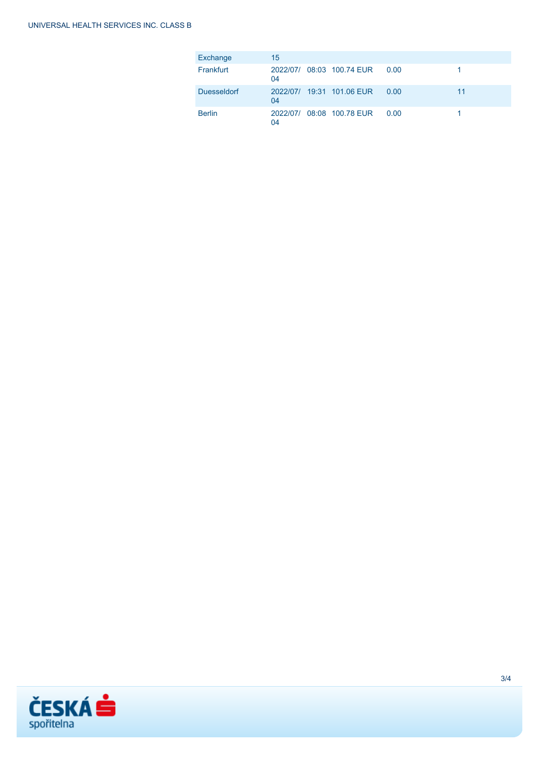| Exchange           | 15 |                           |      |    |
|--------------------|----|---------------------------|------|----|
| Frankfurt          | 04 | 2022/07/ 08:03 100.74 EUR | 0.00 |    |
| <b>Duesseldorf</b> | 04 | 2022/07/ 19:31 101.06 EUR | 0.00 | 11 |
| <b>Berlin</b>      | 04 | 2022/07/ 08:08 100.78 EUR | 0.00 |    |